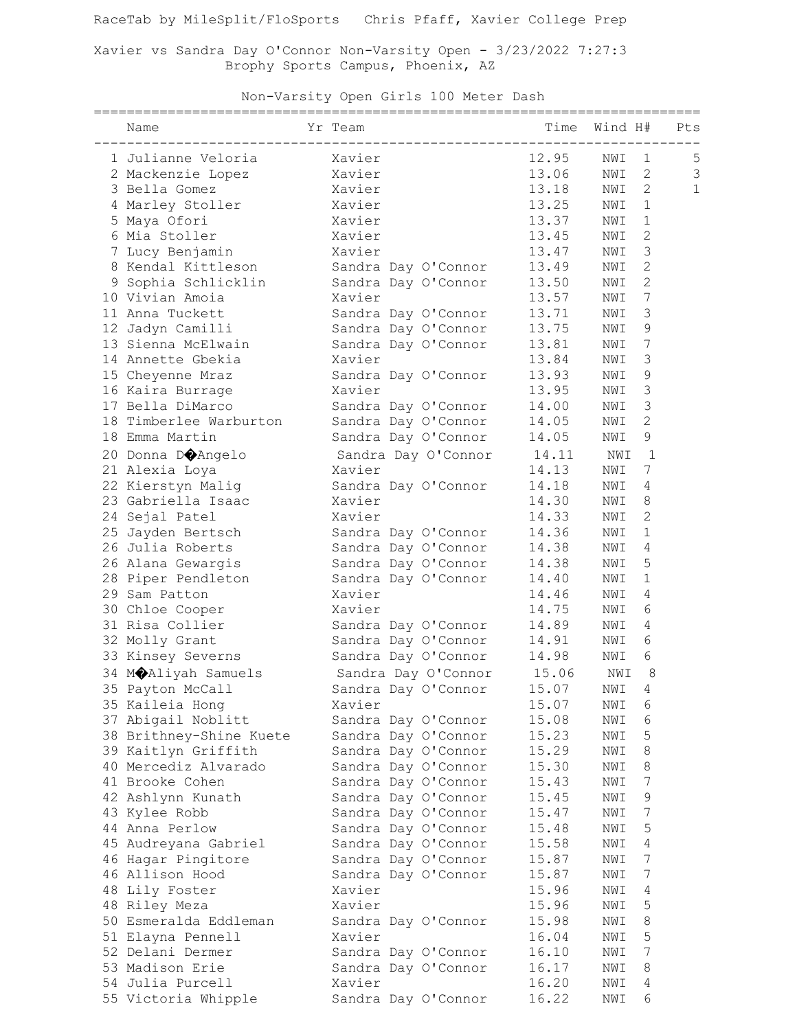Xavier vs Sandra Day O'Connor Non-Varsity Open - 3/23/2022 7:27:3 Brophy Sports Campus, Phoenix, AZ

Non-Varsity Open Girls 100 Meter Dash

| Yr Team<br>Name              |                                                | Time  | Wind H# |                | Pts          |
|------------------------------|------------------------------------------------|-------|---------|----------------|--------------|
| 1 Julianne Veloria           | Xavier                                         | 12.95 | NWI     | $\mathbf 1$    | 5            |
| 2 Mackenzie Lopez            |                                                | 13.06 | NWI     | $\overline{2}$ | 3            |
| 3 Bella Gomez                |                                                | 13.18 | NWI     | $\mathbf{2}$   | $\mathbf{1}$ |
| 4 Marley Stoller             | Xavier<br>Xavier<br>Xavier<br>Xavier<br>Xavier | 13.25 | NWI     | $\mathbf 1$    |              |
| 5 Maya Ofori                 |                                                | 13.37 | NWI     | $\mathbf 1$    |              |
| 6 Mia Stoller                |                                                | 13.45 | NWI     | $\overline{c}$ |              |
| 7 Lucy Benjamin              | Xavier                                         | 13.47 | NWI     | 3              |              |
| 8 Kendal Kittleson           | Sandra Day O'Connor                            | 13.49 | NWI     | $\overline{c}$ |              |
| 9 Sophia Schlicklin          | Sandra Day O'Connor                            | 13.50 | NWI     | $\overline{c}$ |              |
| 10 Vivian Amoia              | Xavier                                         | 13.57 | NWI     | 7              |              |
| 11 Anna Tuckett              | Sandra Day O'Connor                            | 13.71 | NWI     | 3              |              |
| 12 Jadyn Camilli             | Sandra Day O'Connor                            | 13.75 | NWI     | 9              |              |
| 13 Sienna McElwain           | Sandra Day O'Connor                            | 13.81 | NWI     | 7              |              |
| 14 Annette Gbekia            | Xavier                                         | 13.84 | NWI     | 3              |              |
| 15 Cheyenne Mraz             | Sandra Day O'Connor                            | 13.93 | NWI     | 9              |              |
| 16 Kaira Burrage             | Xavier                                         | 13.95 | NWI     | 3              |              |
| 17 Bella DiMarco             | Sandra Day O'Connor                            | 14.00 | NWI     | 3              |              |
| 18 Timberlee Warburton       | Sandra Day O'Connor                            | 14.05 | NWI     | $\mathbf{2}$   |              |
| 18 Emma Martin               | Sandra Day O'Connor                            | 14.05 | NWI     | 9              |              |
| 20 Donna D $\bigcirc$ Angelo | Sandra Day O'Connor                            | 14.11 | NWI     | $\mathbf{1}$   |              |
| 21 Alexia Loya               | Xavier                                         | 14.13 | NWI     | 7              |              |
| 22 Kierstyn Malig            | Sandra Day O'Connor                            | 14.18 | NWI     | 4              |              |
| 23 Gabriella Isaac           | Xavier                                         | 14.30 | NWI     | 8              |              |
| 24 Sejal Patel               | Xavier                                         | 14.33 | NWI     | $\overline{c}$ |              |
| 25 Jayden Bertsch            | Sandra Day O'Connor                            | 14.36 | NWI     | $\mathbf 1$    |              |
| 26 Julia Roberts             | Sandra Day O'Connor                            | 14.38 | NWI     | 4              |              |
| 26 Alana Gewargis            | Sandra Day O'Connor                            | 14.38 | NWI     | 5              |              |
| 28 Piper Pendleton           | Sandra Day O'Connor                            | 14.40 | NWI     | 1              |              |
| 29 Sam Patton                | Xavier                                         | 14.46 | NWI     | 4              |              |
| 30 Chloe Cooper              | Xavier                                         | 14.75 | NWI     | 6              |              |
| 31 Risa Collier              | Sandra Day O'Connor                            | 14.89 | NWI     | 4              |              |
| 32 Molly Grant               | Sandra Day O'Connor                            | 14.91 | NWI     | 6              |              |
| 33 Kinsey Severns            | Sandra Day O'Connor                            | 14.98 | NWI     | 6              |              |
|                              |                                                |       |         |                |              |
| 34 MOAliyah Samuels          | Sandra Day O'Connor 15.06                      |       | NWI     | 8              |              |
| 35 Payton McCall             | Sandra Day O'Connor                            | 15.07 | NWI 4   |                |              |
| 35 Kaileia Hong              | Xavier                                         | 15.07 | NWI     | 6              |              |
| 37 Abigail Noblitt           | Sandra Day O'Connor                            | 15.08 | NWI     | 6              |              |
| 38 Brithney-Shine Kuete      | Sandra Day O'Connor                            | 15.23 | NWI     | 5              |              |
| 39 Kaitlyn Griffith          | Sandra Day O'Connor                            | 15.29 | NWI     | 8              |              |
| 40 Mercediz Alvarado         | Sandra Day O'Connor                            | 15.30 | NWI     | 8              |              |
| 41 Brooke Cohen              | Sandra Day O'Connor                            | 15.43 | NWI     | 7              |              |
| 42 Ashlynn Kunath            | Sandra Day O'Connor                            | 15.45 | NWI     | 9              |              |
| 43 Kylee Robb                | Sandra Day O'Connor                            | 15.47 | NWI     | 7              |              |
| 44 Anna Perlow               | Sandra Day O'Connor                            | 15.48 | NWI     | 5              |              |
| 45 Audreyana Gabriel         | Sandra Day O'Connor                            | 15.58 | NWI     | 4              |              |
| 46 Hagar Pingitore           | Sandra Day O'Connor                            | 15.87 | NWI     | 7              |              |
| 46 Allison Hood              | Sandra Day O'Connor                            | 15.87 | NWI     | 7              |              |
| 48 Lily Foster               | Xavier                                         | 15.96 | NWI     | 4              |              |
| 48 Riley Meza                | Xavier                                         | 15.96 | NWI     | 5              |              |
| 50 Esmeralda Eddleman        | Sandra Day O'Connor                            | 15.98 | NWI     | 8              |              |
| 51 Elayna Pennell            | Xavier                                         | 16.04 | NWI     | 5              |              |
| 52 Delani Dermer             | Sandra Day O'Connor                            | 16.10 | NWI     | 7              |              |
| 53 Madison Erie              | Sandra Day O'Connor                            | 16.17 | NWI     | 8              |              |
| 54 Julia Purcell             | Xavier                                         | 16.20 | NWI     | 4              |              |
| 55 Victoria Whipple          | Sandra Day O'Connor                            | 16.22 | NWI     | 6              |              |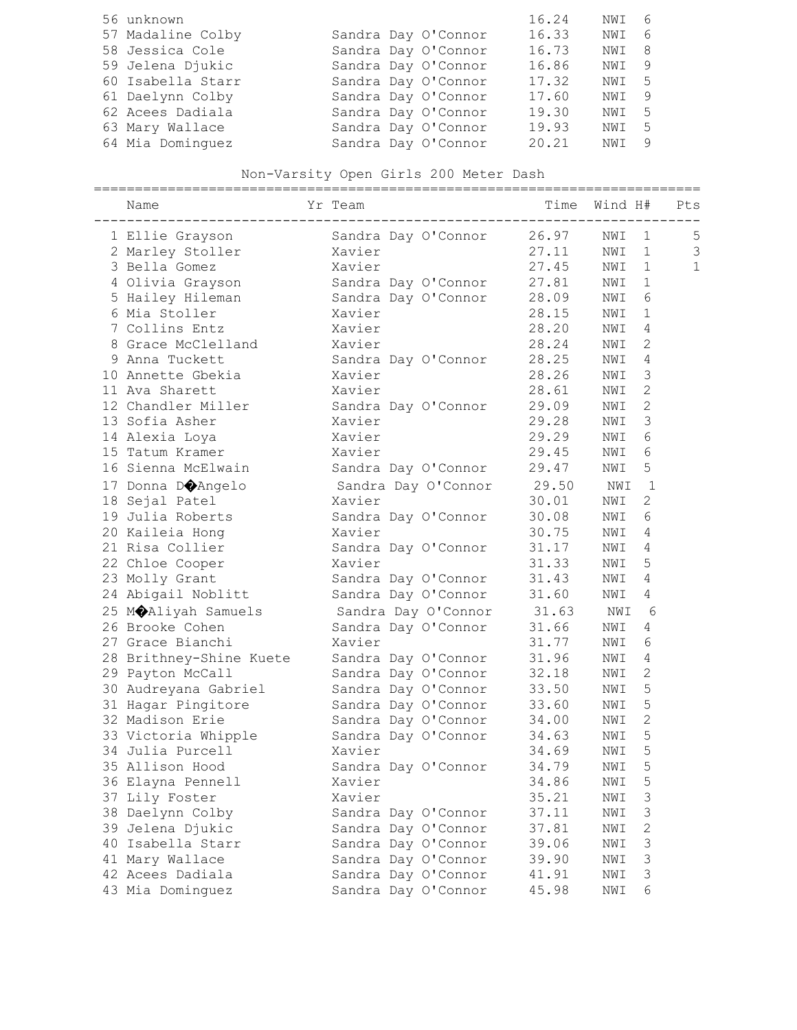| 56 unknown        |  |                     | 16.24 | NWI 6 |     |
|-------------------|--|---------------------|-------|-------|-----|
| 57 Madaline Colby |  | Sandra Day O'Connor | 16.33 | NWI 6 |     |
| 58 Jessica Cole   |  | Sandra Day O'Connor | 16.73 | NWI 8 |     |
| 59 Jelena Djukic  |  | Sandra Day O'Connor | 16.86 | NWI 9 |     |
| 60 Isabella Starr |  | Sandra Day O'Connor | 17.32 | NWI 5 |     |
| 61 Daelynn Colby  |  | Sandra Day O'Connor | 17.60 | NWI   | - 9 |
| 62 Acees Dadiala  |  | Sandra Day O'Connor | 19.30 | NWI 5 |     |
| 63 Mary Wallace   |  | Sandra Day O'Connor | 19.93 | NWI 5 |     |
| 64 Mia Dominquez  |  | Sandra Day O'Connor | 20.21 | NWI 9 |     |

# Non-Varsity Open Girls 200 Meter Dash

| Name<br>--------------  | Yr Team                                              |       | Time Wind H#   |                | Pts            |
|-------------------------|------------------------------------------------------|-------|----------------|----------------|----------------|
| 1 Ellie Grayson         | Sandra Day O'Connor                                  | 26.97 | NWI            | 1              | 5              |
| 2 Marley Stoller        | Xavier                                               | 27.11 | NWI            | $\mathbf 1$    | $\mathfrak{Z}$ |
| 3 Bella Gomez           | Xavier                                               | 27.45 | NWI            | $\mathbf{1}$   | $\mathbf 1$    |
| 4 Olivia Grayson        | Aavier<br>Sandra Day O'Connor<br>Sandra Day O'Connor | 27.81 | NWI            | 1              |                |
| 5 Hailey Hileman        |                                                      | 28.09 | NWI            | 6              |                |
| 6 Mia Stoller           | Xavier                                               | 28.15 | NWI            | $\mathbf 1$    |                |
| 7 Collins Entz          | Xavier                                               | 28.20 | NWI            | 4              |                |
| 8 Grace McClelland      | Xavier                                               | 28.24 | NWI            | $\mathbf{2}$   |                |
| 9 Anna Tuckett          | Sandra Day O'Connor                                  | 28.25 | NWI            | 4              |                |
| 10 Annette Gbekia       | Xavier                                               | 28.26 | NWI            | 3              |                |
| 11 Ava Sharett          | Xavier                                               | 28.61 | NWI            | $\mathbf{2}$   |                |
| 12 Chandler Miller      | Sandra Day O'Connor                                  | 29.09 | NWI            | $\overline{c}$ |                |
| 13 Sofia Asher          | Xavier                                               | 29.28 | NWI            | 3              |                |
| 14 Alexia Loya          | Xavier                                               | 29.29 | NWI            | 6              |                |
| 15 Tatum Kramer         | Xavier                                               | 29.45 | NWI            | 6              |                |
| 16 Sienna McElwain      | Sandra Day O'Connor                                  | 29.47 | NWI            | 5              |                |
| 17 Donna DOAngelo       | Sandra Day O'Connor                                  | 29.50 | NWI            | $\mathbf{1}$   |                |
| 18 Sejal Patel          | Xavier                                               | 30.01 | NWI            | 2              |                |
| 19 Julia Roberts        | Sandra Day O'Connor                                  | 30.08 | NWI            | 6              |                |
| 20 Kaileia Hong         | Xavier                                               | 30.75 | NWI            | 4              |                |
| 21 Risa Collier         | Sandra Day O'Connor                                  | 31.17 | NWI            | 4              |                |
| 22 Chloe Cooper         | Xavier                                               | 31.33 | NWI            | 5              |                |
| 23 Molly Grant          | Sandra Day O'Connor                                  | 31.43 | NWI            | 4              |                |
| 24 Abigail Noblitt      | Sandra Day O'Connor                                  | 31.60 | NWI            | 4              |                |
| 25 M&Aliyah Samuels     | Sandra Day O'Connor                                  | 31.63 | NWI            | 6              |                |
| 26 Brooke Cohen         | Sandra Day O'Connor                                  | 31.66 | NWI            | 4              |                |
| 27 Grace Bianchi        | Xavier                                               | 31.77 | NWI            | 6              |                |
| 28 Brithney-Shine Kuete | Sandra Day O'Connor                                  | 31.96 | NWI            | 4              |                |
| 29 Payton McCall        | Sandra Day O'Connor                                  | 32.18 | NWI            | $\mathbf{2}$   |                |
| 30 Audreyana Gabriel    | Sandra Day O'Connor                                  | 33.50 | NWI            | 5              |                |
| 31 Hagar Pingitore      | Sandra Day O'Connor                                  | 33.60 | NWI            | 5              |                |
| 32 Madison Erie         | Sandra Day O'Connor                                  | 34.00 | NWI            | $\overline{c}$ |                |
| 33 Victoria Whipple     | Sandra Day O'Connor                                  | 34.63 | NWI            | 5              |                |
| 34 Julia Purcell        | Xavier                                               | 34.69 | NWI            | 5              |                |
| 35 Allison Hood         | Sandra Day O'Connor                                  | 34.79 | $\texttt{NWI}$ | 5              |                |
| 36 Elayna Pennell       | Xavier                                               | 34.86 | NWI            | 5              |                |
| 37 Lily Foster          | Xavier                                               | 35.21 | NWI            | 3              |                |
| 38 Daelynn Colby        | Sandra Day O'Connor                                  | 37.11 | NWI            | 3              |                |
| 39 Jelena Djukic        | Sandra Day O'Connor                                  | 37.81 | NWI            | 2              |                |
| 40 Isabella Starr       | Sandra Day O'Connor                                  | 39.06 | NWI            | 3              |                |
| 41 Mary Wallace         | Sandra Day O'Connor                                  | 39.90 | NWI            | $\mathfrak{Z}$ |                |
| 42 Acees Dadiala        | Sandra Day O'Connor                                  | 41.91 | NWI            | $\mathsf 3$    |                |
| 43 Mia Dominguez        | Sandra Day O'Connor                                  | 45.98 | NWI            | 6              |                |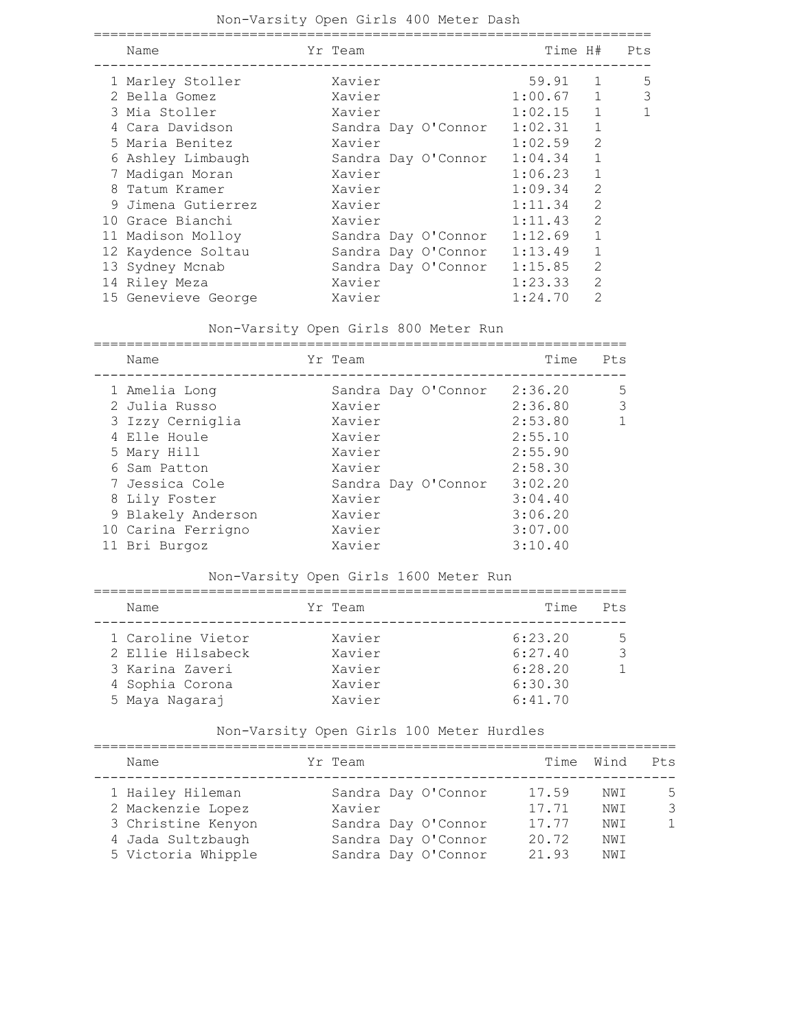### Non-Varsity Open Girls 400 Meter Dash

| Name |                                                                                                                                                                                                                                                                                                    |        |         |                                            |                                                                   | Pts                                    |
|------|----------------------------------------------------------------------------------------------------------------------------------------------------------------------------------------------------------------------------------------------------------------------------------------------------|--------|---------|--------------------------------------------|-------------------------------------------------------------------|----------------------------------------|
|      |                                                                                                                                                                                                                                                                                                    | Xavier |         |                                            | $\mathbf{1}$                                                      | 5                                      |
|      |                                                                                                                                                                                                                                                                                                    | Xavier |         |                                            | $\mathbf{1}$                                                      | 3                                      |
|      |                                                                                                                                                                                                                                                                                                    | Xavier |         |                                            | $\mathbf{1}$                                                      | 1                                      |
|      |                                                                                                                                                                                                                                                                                                    |        |         | 1:02.31                                    | $\mathbf{1}$                                                      |                                        |
|      |                                                                                                                                                                                                                                                                                                    | Xavier |         | 1:02.59                                    | $\overline{2}$                                                    |                                        |
|      |                                                                                                                                                                                                                                                                                                    |        |         | 1:04.34                                    | $\mathbf{1}$                                                      |                                        |
|      |                                                                                                                                                                                                                                                                                                    | Xavier |         | 1:06.23                                    | $\mathbf{1}$                                                      |                                        |
|      |                                                                                                                                                                                                                                                                                                    | Xavier |         | 1:09.34                                    | $\mathcal{L}$                                                     |                                        |
|      |                                                                                                                                                                                                                                                                                                    | Xavier |         | 1:11.34                                    | $\mathcal{D}$                                                     |                                        |
|      |                                                                                                                                                                                                                                                                                                    | Xavier |         | 1:11.43                                    | $\mathcal{D}$                                                     |                                        |
|      |                                                                                                                                                                                                                                                                                                    |        |         | 1:12.69                                    | $\mathbf{1}$                                                      |                                        |
|      |                                                                                                                                                                                                                                                                                                    |        |         | 1:13.49                                    | 1                                                                 |                                        |
|      |                                                                                                                                                                                                                                                                                                    |        |         | 1:15.85                                    | $\overline{2}$                                                    |                                        |
|      |                                                                                                                                                                                                                                                                                                    | Xavier |         | 1:23.33                                    | $\overline{2}$                                                    |                                        |
|      |                                                                                                                                                                                                                                                                                                    | Xavier |         | 1:24.70                                    | $\mathcal{D}$                                                     |                                        |
|      | 1 Marley Stoller<br>2 Bella Gomez<br>3 Mia Stoller<br>4 Cara Davidson<br>5 Maria Benitez<br>6 Ashley Limbaugh<br>7 Madigan Moran<br>8 Tatum Kramer<br>9 Jimena Gutierrez<br>10 Grace Bianchi<br>11 Madison Molloy<br>12 Kaydence Soltau<br>13 Sydney Mcnab<br>14 Riley Meza<br>15 Genevieve George |        | Yr Team | Sandra Day O'Connor<br>Sandra Day O'Connor | Sandra Day O'Connor<br>Sandra Day O'Connor<br>Sandra Day O'Connor | Time H#<br>59.91<br>1:00.67<br>1:02.15 |

#### Non-Varsity Open Girls 800 Meter Run

| Name               | Yr Team |                     | Time    | Pts |
|--------------------|---------|---------------------|---------|-----|
| 1 Amelia Long      |         | Sandra Day O'Connor | 2:36.20 | .5  |
| 2 Julia Russo      | Xavier  |                     | 2:36.80 | 3   |
| 3 Izzy Cerniglia   | Xavier  |                     | 2:53.80 | 1   |
| 4 Elle Houle       | Xavier  |                     | 2:55.10 |     |
| 5 Mary Hill        | Xavier  |                     | 2:55.90 |     |
| 6 Sam Patton       | Xavier  |                     | 2:58.30 |     |
| 7 Jessica Cole     |         | Sandra Day O'Connor | 3:02.20 |     |
| 8 Lily Foster      | Xavier  |                     | 3:04.40 |     |
| 9 Blakely Anderson | Xavier  |                     | 3:06.20 |     |
| 10 Carina Ferrigno | Xavier  |                     | 3:07.00 |     |
| 11 Bri Burgoz      | Xavier  |                     | 3:10.40 |     |

### Non-Varsity Open Girls 1600 Meter Run

| Name              | Yr Team | Time    | Pt.s |
|-------------------|---------|---------|------|
| 1 Caroline Vietor | Xavier  | 6:23.20 | 5    |
| 2 Ellie Hilsabeck | Xavier  | 6:27.40 |      |
| 3 Karina Zaveri   | Xavier  | 6:28.20 |      |
| 4 Sophia Corona   | Xavier  | 6:30.30 |      |
| 5 Maya Nagaraj    | Xavier  | 6:41.70 |      |

## Non-Varsity Open Girls 100 Meter Hurdles

| Name                                                                                                   | Yr Team |                                                                                          | Time Wind                                 |                                   | Pt.s        |
|--------------------------------------------------------------------------------------------------------|---------|------------------------------------------------------------------------------------------|-------------------------------------------|-----------------------------------|-------------|
| 1 Hailey Hileman<br>2 Mackenzie Lopez<br>3 Christine Kenyon<br>4 Jada Sultzbaugh<br>5 Victoria Whipple | Xavier  | Sandra Day O'Connor<br>Sandra Day O'Connor<br>Sandra Day O'Connor<br>Sandra Day O'Connor | 17.59<br>17.71<br>17.77<br>20.72<br>21.93 | NWI<br>NW T<br>NW T<br>NWI<br>NWT | 5<br>3<br>1 |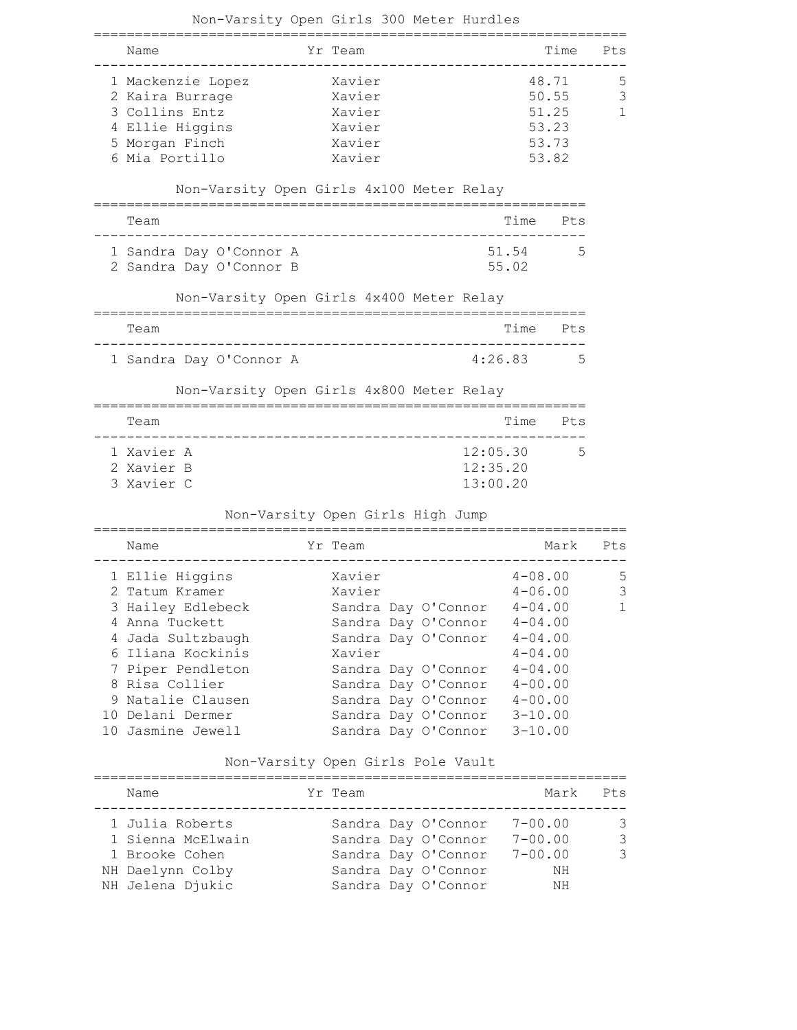| Non-Varsity Open Girls 300 Meter Hurdles            |                     |  |          |             |       |              |
|-----------------------------------------------------|---------------------|--|----------|-------------|-------|--------------|
| Name                                                | Yr Team             |  |          |             | Time  | Pts          |
| 1 Mackenzie Lopez                                   | Xavier              |  |          |             | 48.71 | 5            |
| 2 Kaira Burrage                                     | Xavier              |  |          |             | 50.55 | 3            |
| 3 Collins Entz                                      | Xavier              |  |          |             | 51.25 | $\mathbf{1}$ |
| 4 Ellie Higgins                                     | Xavier              |  |          |             | 53.23 |              |
| 5 Morgan Finch                                      | Xavier              |  |          |             | 53.73 |              |
| 6 Mia Portillo                                      | Xavier              |  |          |             | 53.82 |              |
|                                                     |                     |  |          |             |       |              |
| Non-Varsity Open Girls 4x100 Meter Relay            |                     |  |          |             |       |              |
| Team                                                |                     |  |          | Time Pts    |       |              |
| 1 Sandra Day O'Connor A                             |                     |  |          | 51.54       | 5     |              |
| 2 Sandra Day O'Connor B                             |                     |  |          | 55.02       |       |              |
| Non-Varsity Open Girls 4x400 Meter Relay            |                     |  |          |             |       |              |
| Team                                                |                     |  |          | Time        | Pts   |              |
| 1 Sandra Day O'Connor A                             |                     |  |          | 4:26.83     | 5     |              |
| Non-Varsity Open Girls 4x800 Meter Relay            |                     |  |          |             |       |              |
|                                                     |                     |  |          |             |       |              |
| Team                                                |                     |  |          | Time        | Pts   |              |
| 1 Xavier A                                          |                     |  | 12:05.30 |             | 5     |              |
| 2 Xavier B                                          |                     |  | 12:35.20 |             |       |              |
| 3 Xavier C                                          |                     |  | 13:00.20 |             |       |              |
| Non-Varsity Open Girls High Jump<br>=============== |                     |  |          |             |       |              |
| Name                                                | Yr Team             |  |          |             | Mark  | Pts          |
| 1 Ellie Higgins                                     | Xavier              |  |          | $4 - 08.00$ |       | 5            |
| 2 Tatum Kramer                                      | Xavier              |  |          | $4 - 06.00$ |       | 3            |
| 3 Hailey Edlebeck                                   | Sandra Day O'Connor |  |          | $4 - 04.00$ |       | 1            |
| 4 Anna Tuckett                                      | Sandra Day O'Connor |  |          | $4 - 04.00$ |       |              |
| 4 Jada Sultzbaugh                                   | Sandra Day O'Connor |  |          | $4 - 04.00$ |       |              |
| 6 Iliana Kockinis                                   | Xavier              |  |          | $4 - 04.00$ |       |              |
| 7 Piper Pendleton                                   | Sandra Day O'Connor |  |          | $4 - 04.00$ |       |              |
| 8 Risa Collier                                      | Sandra Day O'Connor |  |          | $4 - 00.00$ |       |              |
| 9 Natalie Clausen                                   | Sandra Day O'Connor |  |          | $4 - 00.00$ |       |              |
| 10 Delani Dermer                                    | Sandra Day O'Connor |  |          | $3 - 10.00$ |       |              |
| 10 Jasmine Jewell                                   | Sandra Day O'Connor |  |          | $3 - 10.00$ |       |              |
| Non-Varsity Open Girls Pole Vault                   |                     |  |          |             |       |              |
| Name                                                | Yr Team             |  |          |             | Mark  | Pts          |
| 1 Julia Roberts                                     | Sandra Day O'Connor |  |          | $7 - 00.00$ |       | 3            |
| 1 Sienna McElwain                                   | Sandra Day O'Connor |  |          | $7 - 00.00$ |       | $\mathsf 3$  |
| 1 Brooke Cohen                                      | Sandra Day O'Connor |  |          | $7 - 00.00$ |       | 3            |
| NH Daelynn Colby                                    | Sandra Day O'Connor |  |          |             | ΝH    |              |
| NH Jelena Djukic                                    | Sandra Day O'Connor |  |          |             | ΝH    |              |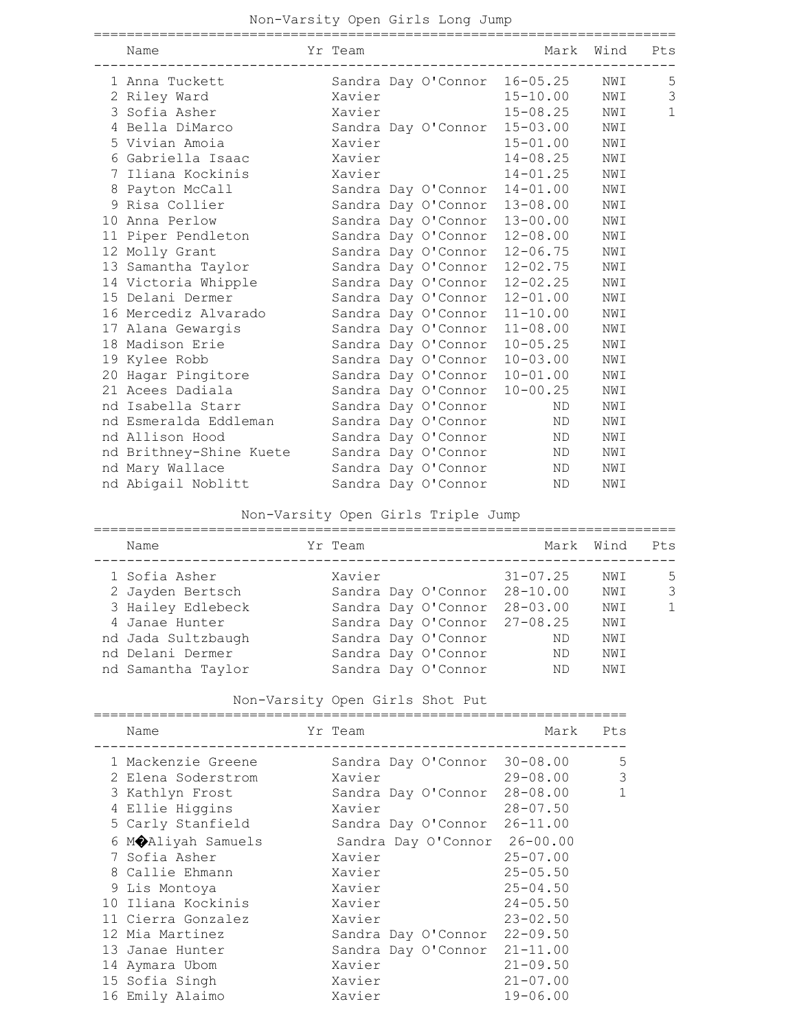| Name                    | Yr Team |                     | Mark                         | Wind Pts |              |
|-------------------------|---------|---------------------|------------------------------|----------|--------------|
| 1 Anna Tuckett          |         |                     | Sandra Day O'Connor 16-05.25 | NWI      | 5            |
| 2 Riley Ward            | Xavier  |                     | $15 - 10.00$                 | NWI      | 3            |
| 3 Sofia Asher           | Xavier  |                     | $15 - 08.25$                 | NWI      | $\mathbf{1}$ |
| 4 Bella DiMarco         |         |                     | Sandra Day O'Connor 15-03.00 | NWI      |              |
| 5 Vivian Amoia          | Xavier  |                     | $15 - 01.00$                 | NWI      |              |
| 6 Gabriella Isaac       | Xavier  |                     | 14-08.25                     | NWI      |              |
| 7 Iliana Kockinis       | Xavier  |                     | $14 - 01.25$                 | NWI      |              |
| 8 Payton McCall         |         | Sandra Day O'Connor | $14 - 01.00$                 | NWI      |              |
| 9 Risa Collier          |         | Sandra Day O'Connor | 13-08.00                     | NWI      |              |
| 10 Anna Perlow          |         | Sandra Day O'Connor | 13-00.00                     | NWI      |              |
| 11 Piper Pendleton      |         |                     | Sandra Day O'Connor 12-08.00 | NWI      |              |
| 12 Molly Grant          |         | Sandra Day O'Connor | $12 - 06.75$                 | NWI      |              |
| 13 Samantha Taylor      |         | Sandra Day O'Connor | 12-02.75                     | NWI      |              |
| 14 Victoria Whipple     |         | Sandra Day O'Connor | 12-02.25                     | NWI      |              |
| 15 Delani Dermer        |         | Sandra Day O'Connor | $12 - 01.00$                 | NWI      |              |
| 16 Mercediz Alvarado    |         | Sandra Day O'Connor | $11 - 10.00$                 | NWI      |              |
| 17 Alana Gewargis       |         | Sandra Day O'Connor | 11-08.00                     | NWI      |              |
| 18 Madison Erie         |         | Sandra Day O'Connor | $10 - 05.25$                 | NWI      |              |
| 19 Kylee Robb           |         | Sandra Day O'Connor | $10 - 03.00$                 | NWI      |              |
| 20 Hagar Pingitore      |         | Sandra Day O'Connor | $10 - 01.00$                 | NWI      |              |
| 21 Acees Dadiala        |         | Sandra Day O'Connor | $10 - 00.25$                 | NWI      |              |
| nd Isabella Starr       |         | Sandra Day O'Connor | ND                           | NWI      |              |
| nd Esmeralda Eddleman   |         | Sandra Day O'Connor | ND                           | NWI      |              |
| nd Allison Hood         |         | Sandra Day O'Connor | ND                           | NWI      |              |
| nd Brithney-Shine Kuete |         | Sandra Day O'Connor | ND                           | NWI      |              |
| nd Mary Wallace         |         | Sandra Day O'Connor | ND                           | NWI      |              |
| nd Abigail Noblitt      |         | Sandra Day O'Connor | ND                           | NWI      |              |

## Non-Varsity Open Girls Triple Jump

| Name               | Yr Team |                              |              | Mark Wind | Pts          |
|--------------------|---------|------------------------------|--------------|-----------|--------------|
| 1 Sofia Asher      | Xavier  |                              | $31 - 07.25$ | NWI       | .5           |
| 2 Jayden Bertsch   |         | Sandra Day O'Connor          | $28 - 10.00$ | NWI       | 3            |
| 3 Hailey Edlebeck  |         | Sandra Day O'Connor          | $28 - 03.00$ | NWI       | $\mathbf{1}$ |
| 4 Janae Hunter     |         | Sandra Day O'Connor 27-08.25 |              | NWI       |              |
| nd Jada Sultzbaugh |         | Sandra Day O'Connor          | ND           | NWI       |              |
| nd Delani Dermer   |         | Sandra Day O'Connor          | ND           | NWI       |              |
| nd Samantha Taylor |         | Sandra Day O'Connor          | ND           | NWI       |              |

## Non-Varsity Open Girls Shot Put

| Name               | Yr Team                      | Mark         | Pts |
|--------------------|------------------------------|--------------|-----|
| 1 Mackenzie Greene | Sandra Day O'Connor 30-08.00 |              | 5   |
| 2 Elena Soderstrom | Xavier                       | $29 - 08.00$ | 3   |
| 3 Kathlyn Frost    | Sandra Day O'Connor 28-08.00 |              | 1   |
| 4 Ellie Higgins    | Xavier                       | $28 - 07.50$ |     |
| 5 Carly Stanfield  | Sandra Day O'Connor          | $26 - 11.00$ |     |
| 6 MOAliyah Samuels | Sandra Day O'Connor 26-00.00 |              |     |
| 7 Sofia Asher      | Xavier                       | $25 - 07.00$ |     |
| 8 Callie Ehmann    | Xavier                       | $25 - 05.50$ |     |
| 9 Lis Montoya      | Xavier                       | $25 - 04.50$ |     |
| 10 Iliana Kockinis | Xavier                       | $24 - 05.50$ |     |
| 11 Cierra Gonzalez | Xavier                       | $23 - 02.50$ |     |
| 12 Mia Martinez    | Sandra Day O'Connor          | $22 - 09.50$ |     |
| 13 Janae Hunter    | Sandra Day O'Connor 21-11.00 |              |     |
| 14 Aymara Ubom     | Xavier                       | $21 - 09.50$ |     |
| 15 Sofia Singh     | Xavier                       | $21 - 07.00$ |     |
| 16 Emily Alaimo    | Xavier                       | $19 - 06.00$ |     |